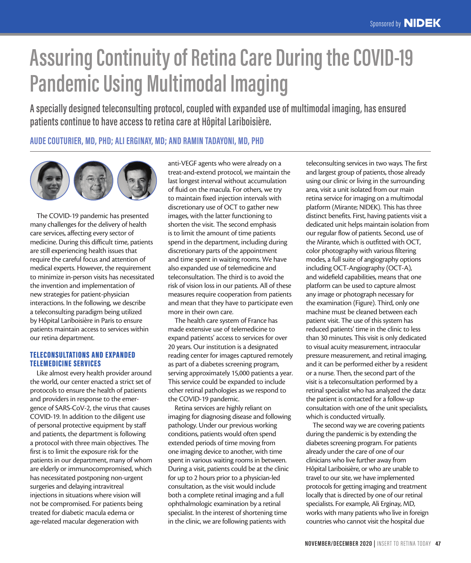# **Assuring Continuity of Retina Care During the COVID-19 Pandemic Using Multimodal Imaging**

**A specially designed teleconsulting protocol, coupled with expanded use of multimodal imaging, has ensured patients continue to have access to retina care at Hôpital Lariboisière.**

# **AUDE COUTURIER, MD, PHD; ALI ERGINAY, MD; AND RAMIN TADAYONI, MD, PHD**



The COVID-19 pandemic has presented many challenges for the delivery of health care services, affecting every sector of medicine. During this difficult time, patients are still experiencing health issues that require the careful focus and attention of medical experts. However, the requirement to minimize in-person visits has necessitated the invention and implementation of new strategies for patient-physician interactions. In the following, we describe a teleconsulting paradigm being utilized by Hôpital Lariboisière in Paris to ensure patients maintain access to services within our retina department.

# TELECONSULTATIONS AND E XPANDED TELEMEDICINE SERVICES

Like almost every health provider around the world, our center enacted a strict set of protocols to ensure the health of patients and providers in response to the emergence of SARS-CoV-2, the virus that causes COVID-19. In addition to the diligent use of personal protective equipment by staff and patients, the department is following a protocol with three main objectives. The first is to limit the exposure risk for the patients in our department, many of whom are elderly or immunocompromised, which has necessitated postponing non-urgent surgeries and delaying intravitreal injections in situations where vision will not be compromised. For patients being treated for diabetic macula edema or age-related macular degeneration with

anti-VEGF agents who were already on a treat-and-extend protocol, we maintain the last longest interval without accumulation of fluid on the macula. For others, we try to maintain fixed injection intervals with discretionary use of OCT to gather new images, with the latter functioning to shorten the visit. The second emphasis is to limit the amount of time patients spend in the department, including during discretionary parts of the appointment and time spent in waiting rooms. We have also expanded use of telemedicine and teleconsultation. The third is to avoid the risk of vision loss in our patients. All of these measures require cooperation from patients and mean that they have to participate even more in their own care.

The health care system of France has made extensive use of telemedicine to expand patients' access to services for over 20 years. Our institution is a designated reading center for images captured remotely as part of a diabetes screening program, serving approximately 15,000 patients a year. This service could be expanded to include other retinal pathologies as we respond to the COVID-19 pandemic.

Retina services are highly reliant on imaging for diagnosing disease and following pathology. Under our previous working conditions, patients would often spend extended periods of time moving from one imaging device to another, with time spent in various waiting rooms in between. During a visit, patients could be at the clinic for up to 2 hours prior to a physician-led consultation, as the visit would include both a complete retinal imaging and a full ophthalmologic examination by a retinal specialist. In the interest of shortening time in the clinic, we are following patients with

teleconsulting services in two ways. The first and largest group of patients, those already using our clinic or living in the surrounding area, visit a unit isolated from our main retina service for imaging on a multimodal platform (Mirante; NIDEK). This has three distinct benefits. First, having patients visit a dedicated unit helps maintain isolation from our regular flow of patients. Second, use of the Mirante, which is outfitted with OCT, color photography with various filtering modes, a full suite of angiography options including OCT-Angiography (OCT-A), and widefield capabilities, means that one platform can be used to capture almost any image or photograph necessary for the examination (Figure). Third, only one machine must be cleaned between each patient visit. The use of this system has reduced patients' time in the clinic to less than 30 minutes. This visit is only dedicated to visual acuity measurement, intraocular pressure measurement, and retinal imaging, and it can be performed either by a resident or a nurse. Then, the second part of the visit is a teleconsultation performed by a retinal specialist who has analyzed the data: the patient is contacted for a follow-up consultation with one of the unit specialists, which is conducted virtually.

The second way we are covering patients during the pandemic is by extending the diabetes screening program. For patients already under the care of one of our clinicians who live further away from Hôpital Lariboisière, or who are unable to travel to our site, we have implemented protocols for getting imaging and treatment locally that is directed by one of our retinal specialists. For example, Ali Erginay, MD, works with many patients who live in foreign countries who cannot visit the hospital due